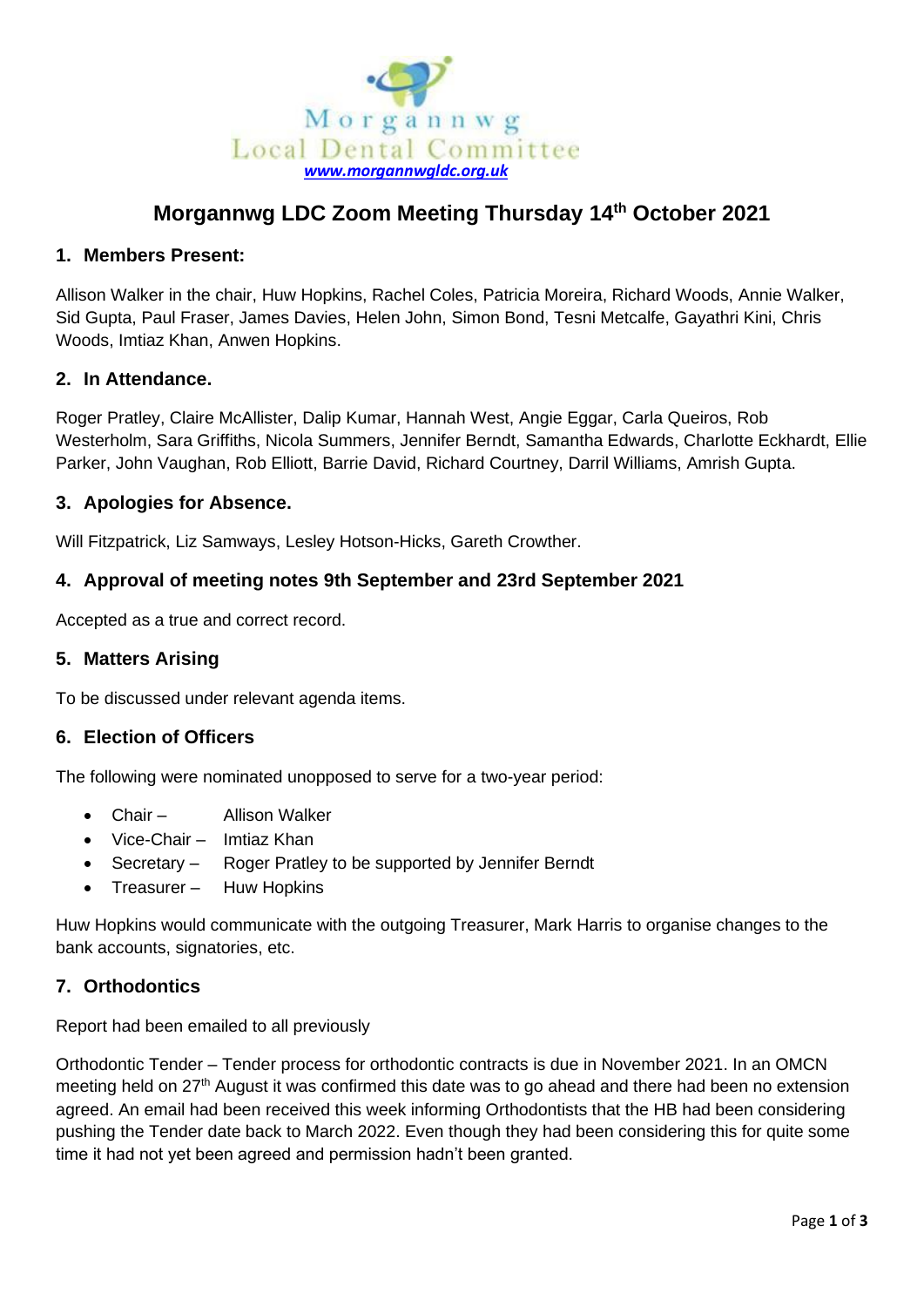

# **Morgannwg LDC Zoom Meeting Thursday 14th October 2021**

## **1. Members Present:**

Allison Walker in the chair, Huw Hopkins, Rachel Coles, Patricia Moreira, Richard Woods, Annie Walker, Sid Gupta, Paul Fraser, James Davies, Helen John, Simon Bond, Tesni Metcalfe, Gayathri Kini, Chris Woods, Imtiaz Khan, Anwen Hopkins.

### **2. In Attendance.**

Roger Pratley, Claire McAllister, Dalip Kumar, Hannah West, Angie Eggar, Carla Queiros, Rob Westerholm, Sara Griffiths, Nicola Summers, Jennifer Berndt, Samantha Edwards, Charlotte Eckhardt, Ellie Parker, John Vaughan, Rob Elliott, Barrie David, Richard Courtney, Darril Williams, Amrish Gupta.

### **3. Apologies for Absence.**

Will Fitzpatrick, Liz Samways, Lesley Hotson-Hicks, Gareth Crowther.

## **4. Approval of meeting notes 9th September and 23rd September 2021**

Accepted as a true and correct record.

#### **5. Matters Arising**

To be discussed under relevant agenda items.

#### **6. Election of Officers**

The following were nominated unopposed to serve for a two-year period:

- Chair Allison Walker
- Vice-Chair Imtiaz Khan
- Secretary Roger Pratley to be supported by Jennifer Berndt
- Treasurer Huw Hopkins

Huw Hopkins would communicate with the outgoing Treasurer, Mark Harris to organise changes to the bank accounts, signatories, etc.

#### **7. Orthodontics**

Report had been emailed to all previously

Orthodontic Tender – Tender process for orthodontic contracts is due in November 2021. In an OMCN meeting held on 27<sup>th</sup> August it was confirmed this date was to go ahead and there had been no extension agreed. An email had been received this week informing Orthodontists that the HB had been considering pushing the Tender date back to March 2022. Even though they had been considering this for quite some time it had not yet been agreed and permission hadn't been granted.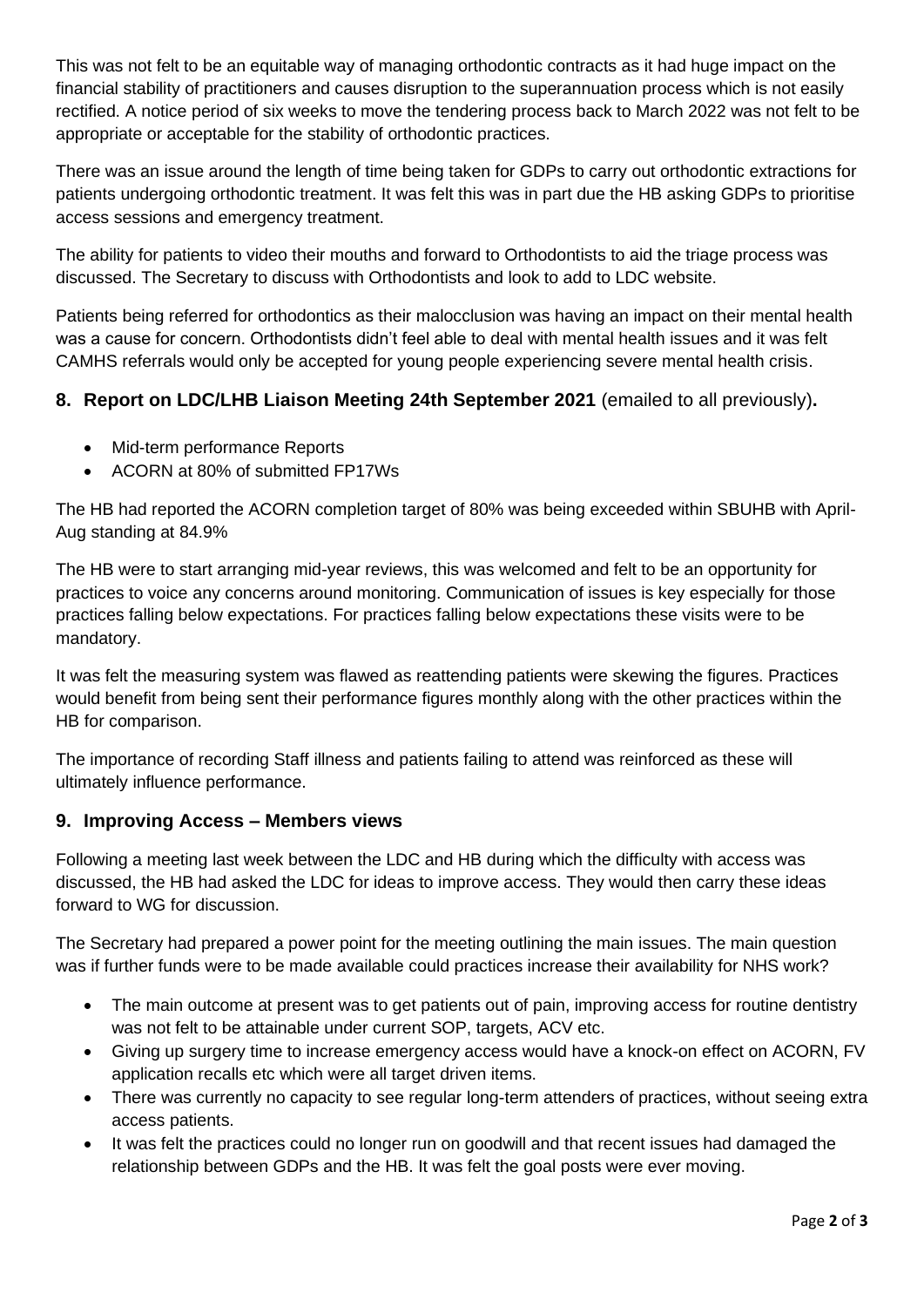This was not felt to be an equitable way of managing orthodontic contracts as it had huge impact on the financial stability of practitioners and causes disruption to the superannuation process which is not easily rectified. A notice period of six weeks to move the tendering process back to March 2022 was not felt to be appropriate or acceptable for the stability of orthodontic practices.

There was an issue around the length of time being taken for GDPs to carry out orthodontic extractions for patients undergoing orthodontic treatment. It was felt this was in part due the HB asking GDPs to prioritise access sessions and emergency treatment.

The ability for patients to video their mouths and forward to Orthodontists to aid the triage process was discussed. The Secretary to discuss with Orthodontists and look to add to LDC website.

Patients being referred for orthodontics as their malocclusion was having an impact on their mental health was a cause for concern. Orthodontists didn't feel able to deal with mental health issues and it was felt CAMHS referrals would only be accepted for young people experiencing severe mental health crisis.

## **8. Report on LDC/LHB Liaison Meeting 24th September 2021** (emailed to all previously)**.**

- Mid-term performance Reports
- ACORN at 80% of submitted FP17Ws

The HB had reported the ACORN completion target of 80% was being exceeded within SBUHB with April-Aug standing at 84.9%

The HB were to start arranging mid-year reviews, this was welcomed and felt to be an opportunity for practices to voice any concerns around monitoring. Communication of issues is key especially for those practices falling below expectations. For practices falling below expectations these visits were to be mandatory.

It was felt the measuring system was flawed as reattending patients were skewing the figures. Practices would benefit from being sent their performance figures monthly along with the other practices within the HB for comparison.

The importance of recording Staff illness and patients failing to attend was reinforced as these will ultimately influence performance.

## **9. Improving Access – Members views**

Following a meeting last week between the LDC and HB during which the difficulty with access was discussed, the HB had asked the LDC for ideas to improve access. They would then carry these ideas forward to WG for discussion.

The Secretary had prepared a power point for the meeting outlining the main issues. The main question was if further funds were to be made available could practices increase their availability for NHS work?

- The main outcome at present was to get patients out of pain, improving access for routine dentistry was not felt to be attainable under current SOP, targets, ACV etc.
- Giving up surgery time to increase emergency access would have a knock-on effect on ACORN, FV application recalls etc which were all target driven items.
- There was currently no capacity to see regular long-term attenders of practices, without seeing extra access patients.
- It was felt the practices could no longer run on goodwill and that recent issues had damaged the relationship between GDPs and the HB. It was felt the goal posts were ever moving.